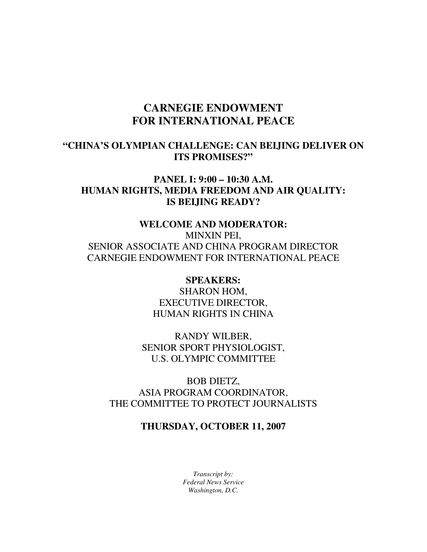# **CARNEGIE ENDOWMENT FOR INTERNATIONAL PEACE**

### **"CHINA'S OLYMPIAN CHALLENGE: CAN BEIJING DELIVER ON ITS PROMISES?"**

# **PANEL I: 9:00 – 10:30 A.M. HUMAN RIGHTS, MEDIA FREEDOM AND AIR QUALITY: IS BEIJING READY?**

# **WELCOME AND MODERATOR:**  MINXIN PEI, SENIOR ASSOCIATE AND CHINA PROGRAM DIRECTOR CARNEGIE ENDOWMENT FOR INTERNATIONAL PEACE

**SPEAKERS:**  SHARON HOM, EXECUTIVE DIRECTOR, HUMAN RIGHTS IN CHINA

RANDY WILBER, SENIOR SPORT PHYSIOLOGIST, U.S. OLYMPIC COMMITTEE

BOB DIETZ, ASIA PROGRAM COORDINATOR, THE COMMITTEE TO PROTECT JOURNALISTS

# **THURSDAY, OCTOBER 11, 2007**

*Transcript by: Federal News Service Washington, D.C.*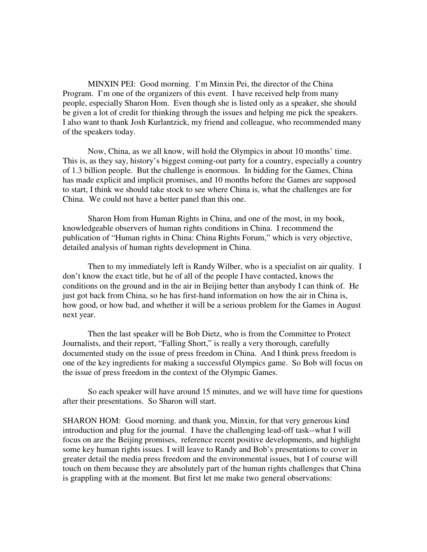MINXIN PEI: Good morning. I'm Minxin Pei, the director of the China Program. I'm one of the organizers of this event. I have received help from many people, especially Sharon Hom. Even though she is listed only as a speaker, she should be given a lot of credit for thinking through the issues and helping me pick the speakers. I also want to thank Josh Kurlantzick, my friend and colleague, who recommended many of the speakers today.

Now, China, as we all know, will hold the Olympics in about 10 months' time. This is, as they say, history's biggest coming-out party for a country, especially a country of 1.3 billion people. But the challenge is enormous. In bidding for the Games, China has made explicit and implicit promises, and 10 months before the Games are supposed to start, I think we should take stock to see where China is, what the challenges are for China. We could not have a better panel than this one.

Sharon Hom from Human Rights in China, and one of the most, in my book, knowledgeable observers of human rights conditions in China. I recommend the publication of "Human rights in China: China Rights Forum," which is very objective, detailed analysis of human rights development in China.

Then to my immediately left is Randy Wilber, who is a specialist on air quality. I don't know the exact title, but he of all of the people I have contacted, knows the conditions on the ground and in the air in Beijing better than anybody I can think of. He just got back from China, so he has first-hand information on how the air in China is, how good, or how bad, and whether it will be a serious problem for the Games in August next year.

Then the last speaker will be Bob Dietz, who is from the Committee to Protect Journalists, and their report, "Falling Short," is really a very thorough, carefully documented study on the issue of press freedom in China. And I think press freedom is one of the key ingredients for making a successful Olympics game. So Bob will focus on the issue of press freedom in the context of the Olympic Games.

So each speaker will have around 15 minutes, and we will have time for questions after their presentations. So Sharon will start.

SHARON HOM: Good morning. and thank you, Minxin, for that very generous kind introduction and plug for the journal. I have the challenging lead-off task--what I will focus on are the Beijing promises, reference recent positive developments, and highlight some key human rights issues. I will leave to Randy and Bob's presentations to cover in greater detail the media press freedom and the environmental issues, but I of course will touch on them because they are absolutely part of the human rights challenges that China is grappling with at the moment. But first let me make two general observations: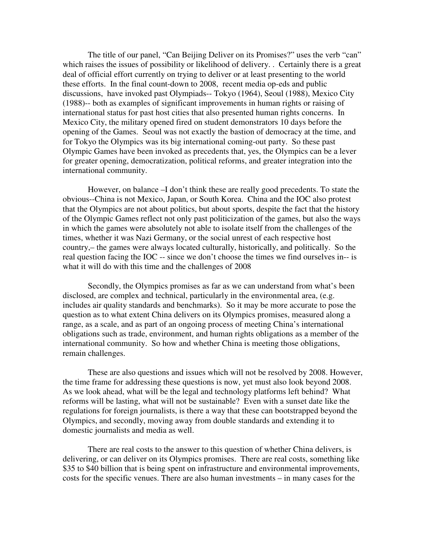The title of our panel, "Can Beijing Deliver on its Promises?" uses the verb "can" which raises the issues of possibility or likelihood of delivery. . Certainly there is a great deal of official effort currently on trying to deliver or at least presenting to the world these efforts. In the final count-down to 2008, recent media op-eds and public discussions, have invoked past Olympiads-- Tokyo (1964), Seoul (1988), Mexico City (1988)-- both as examples of significant improvements in human rights or raising of international status for past host cities that also presented human rights concerns. In Mexico City, the military opened fired on student demonstrators 10 days before the opening of the Games. Seoul was not exactly the bastion of democracy at the time, and for Tokyo the Olympics was its big international coming-out party. So these past Olympic Games have been invoked as precedents that, yes, the Olympics can be a lever for greater opening, democratization, political reforms, and greater integration into the international community.

However, on balance –I don't think these are really good precedents. To state the obvious--China is not Mexico, Japan, or South Korea. China and the IOC also protest that the Olympics are not about politics, but about sports, despite the fact that the history of the Olympic Games reflect not only past politicization of the games, but also the ways in which the games were absolutely not able to isolate itself from the challenges of the times, whether it was Nazi Germany, or the social unrest of each respective host country,– the games were always located culturally, historically, and politically. So the real question facing the IOC -- since we don't choose the times we find ourselves in-- is what it will do with this time and the challenges of 2008

Secondly, the Olympics promises as far as we can understand from what's been disclosed, are complex and technical, particularly in the environmental area, (e.g. includes air quality standards and benchmarks). So it may be more accurate to pose the question as to what extent China delivers on its Olympics promises, measured along a range, as a scale, and as part of an ongoing process of meeting China's international obligations such as trade, environment, and human rights obligations as a member of the international community. So how and whether China is meeting those obligations, remain challenges.

These are also questions and issues which will not be resolved by 2008. However, the time frame for addressing these questions is now, yet must also look beyond 2008. As we look ahead, what will be the legal and technology platforms left behind? What reforms will be lasting, what will not be sustainable? Even with a sunset date like the regulations for foreign journalists, is there a way that these can bootstrapped beyond the Olympics, and secondly, moving away from double standards and extending it to domestic journalists and media as well.

There are real costs to the answer to this question of whether China delivers, is delivering, or can deliver on its Olympics promises. There are real costs, something like \$35 to \$40 billion that is being spent on infrastructure and environmental improvements, costs for the specific venues. There are also human investments – in many cases for the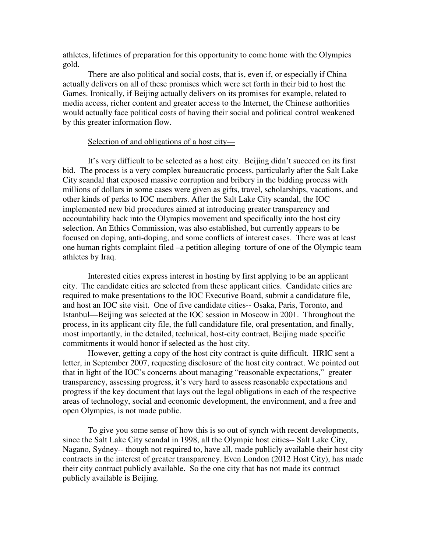athletes, lifetimes of preparation for this opportunity to come home with the Olympics gold.

There are also political and social costs, that is, even if, or especially if China actually delivers on all of these promises which were set forth in their bid to host the Games. Ironically, if Beijing actually delivers on its promises for example, related to media access, richer content and greater access to the Internet, the Chinese authorities would actually face political costs of having their social and political control weakened by this greater information flow.

#### Selection of and obligations of a host city—

It's very difficult to be selected as a host city. Beijing didn't succeed on its first bid. The process is a very complex bureaucratic process, particularly after the Salt Lake City scandal that exposed massive corruption and bribery in the bidding process with millions of dollars in some cases were given as gifts, travel, scholarships, vacations, and other kinds of perks to IOC members. After the Salt Lake City scandal, the IOC implemented new bid procedures aimed at introducing greater transparency and accountability back into the Olympics movement and specifically into the host city selection. An Ethics Commission, was also established, but currently appears to be focused on doping, anti-doping, and some conflicts of interest cases. There was at least one human rights complaint filed –a petition alleging torture of one of the Olympic team athletes by Iraq.

Interested cities express interest in hosting by first applying to be an applicant city. The candidate cities are selected from these applicant cities. Candidate cities are required to make presentations to the IOC Executive Board, submit a candidature file, and host an IOC site visit. One of five candidate cities-- Osaka, Paris, Toronto, and Istanbul—Beijing was selected at the IOC session in Moscow in 2001. Throughout the process, in its applicant city file, the full candidature file, oral presentation, and finally, most importantly, in the detailed, technical, host-city contract, Beijing made specific commitments it would honor if selected as the host city.

However, getting a copy of the host city contract is quite difficult. HRIC sent a letter, in September 2007, requesting disclosure of the host city contract. We pointed out that in light of the IOC's concerns about managing "reasonable expectations," greater transparency, assessing progress, it's very hard to assess reasonable expectations and progress if the key document that lays out the legal obligations in each of the respective areas of technology, social and economic development, the environment, and a free and open Olympics, is not made public.

To give you some sense of how this is so out of synch with recent developments, since the Salt Lake City scandal in 1998, all the Olympic host cities-- Salt Lake City, Nagano, Sydney-- though not required to, have all, made publicly available their host city contracts in the interest of greater transparency. Even London (2012 Host City), has made their city contract publicly available. So the one city that has not made its contract publicly available is Beijing.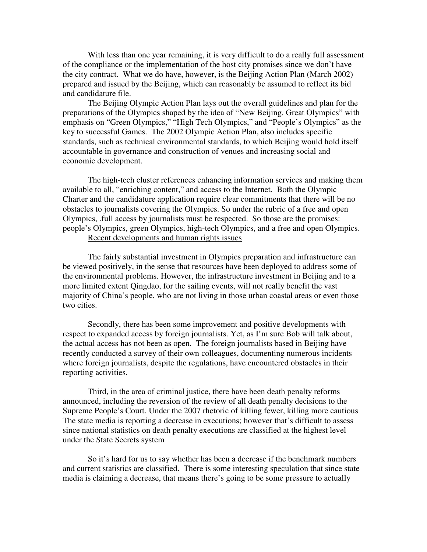With less than one year remaining, it is very difficult to do a really full assessment of the compliance or the implementation of the host city promises since we don't have the city contract. What we do have, however, is the Beijing Action Plan (March 2002) prepared and issued by the Beijing, which can reasonably be assumed to reflect its bid and candidature file.

 The Beijing Olympic Action Plan lays out the overall guidelines and plan for the preparations of the Olympics shaped by the idea of "New Beijing, Great Olympics" with emphasis on "Green Olympics," "High Tech Olympics," and "People's Olympics" as the key to successful Games. The 2002 Olympic Action Plan, also includes specific standards, such as technical environmental standards, to which Beijing would hold itself accountable in governance and construction of venues and increasing social and economic development.

The high-tech cluster references enhancing information services and making them available to all, "enriching content," and access to the Internet. Both the Olympic Charter and the candidature application require clear commitments that there will be no obstacles to journalists covering the Olympics. So under the rubric of a free and open Olympics, .full access by journalists must be respected. So those are the promises: people's Olympics, green Olympics, high-tech Olympics, and a free and open Olympics. Recent developments and human rights issues

The fairly substantial investment in Olympics preparation and infrastructure can be viewed positively, in the sense that resources have been deployed to address some of the environmental problems. However, the infrastructure investment in Beijing and to a more limited extent Qingdao, for the sailing events, will not really benefit the vast majority of China's people, who are not living in those urban coastal areas or even those two cities.

Secondly, there has been some improvement and positive developments with respect to expanded access by foreign journalists. Yet, as I'm sure Bob will talk about, the actual access has not been as open. The foreign journalists based in Beijing have recently conducted a survey of their own colleagues, documenting numerous incidents where foreign journalists, despite the regulations, have encountered obstacles in their reporting activities.

Third, in the area of criminal justice, there have been death penalty reforms announced, including the reversion of the review of all death penalty decisions to the Supreme People's Court. Under the 2007 rhetoric of killing fewer, killing more cautious The state media is reporting a decrease in executions; however that's difficult to assess since national statistics on death penalty executions are classified at the highest level under the State Secrets system

So it's hard for us to say whether has been a decrease if the benchmark numbers and current statistics are classified. There is some interesting speculation that since state media is claiming a decrease, that means there's going to be some pressure to actually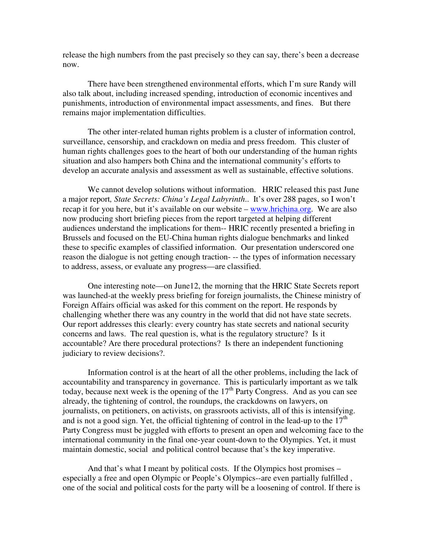release the high numbers from the past precisely so they can say, there's been a decrease now.

There have been strengthened environmental efforts, which I'm sure Randy will also talk about, including increased spending, introduction of economic incentives and punishments, introduction of environmental impact assessments, and fines. But there remains major implementation difficulties.

The other inter-related human rights problem is a cluster of information control, surveillance, censorship, and crackdown on media and press freedom. This cluster of human rights challenges goes to the heart of both our understanding of the human rights situation and also hampers both China and the international community's efforts to develop an accurate analysis and assessment as well as sustainable, effective solutions.

We cannot develop solutions without information. HRIC released this past June a major report*, State Secrets: China's Legal Labyrinth*.. It's over 288 pages, so I won't recap it for you here, but it's available on our website – www.hrichina.org. We are also now producing short briefing pieces from the report targeted at helping different audiences understand the implications for them-- HRIC recently presented a briefing in Brussels and focused on the EU-China human rights dialogue benchmarks and linked these to specific examples of classified information. Our presentation underscored one reason the dialogue is not getting enough traction- -- the types of information necessary to address, assess, or evaluate any progress—are classified.

One interesting note—on June12, the morning that the HRIC State Secrets report was launched-at the weekly press briefing for foreign journalists, the Chinese ministry of Foreign Affairs official was asked for this comment on the report. He responds by challenging whether there was any country in the world that did not have state secrets. Our report addresses this clearly: every country has state secrets and national security concerns and laws. The real question is, what is the regulatory structure? Is it accountable? Are there procedural protections? Is there an independent functioning judiciary to review decisions?.

Information control is at the heart of all the other problems, including the lack of accountability and transparency in governance. This is particularly important as we talk today, because next week is the opening of the  $17<sup>th</sup>$  Party Congress. And as you can see already, the tightening of control, the roundups, the crackdowns on lawyers, on journalists, on petitioners, on activists, on grassroots activists, all of this is intensifying. and is not a good sign. Yet, the official tightening of control in the lead-up to the  $17<sup>th</sup>$ Party Congress must be juggled with efforts to present an open and welcoming face to the international community in the final one-year count-down to the Olympics. Yet, it must maintain domestic, social and political control because that's the key imperative.

And that's what I meant by political costs. If the Olympics host promises – especially a free and open Olympic or People's Olympics--are even partially fulfilled , one of the social and political costs for the party will be a loosening of control. If there is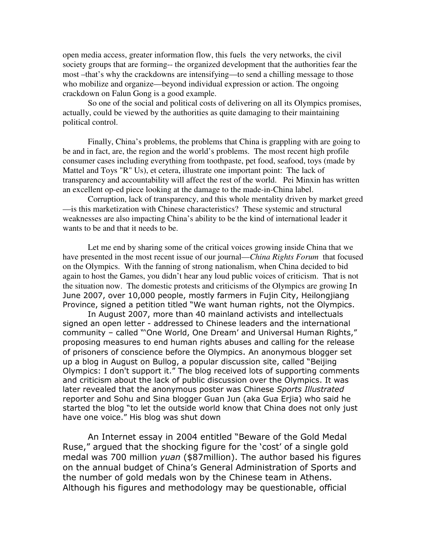open media access, greater information flow, this fuels the very networks, the civil society groups that are forming-- the organized development that the authorities fear the most –that's why the crackdowns are intensifying—to send a chilling message to those who mobilize and organize—beyond individual expression or action. The ongoing crackdown on Falun Gong is a good example.

So one of the social and political costs of delivering on all its Olympics promises, actually, could be viewed by the authorities as quite damaging to their maintaining political control.

Finally, China's problems, the problems that China is grappling with are going to be and in fact, are, the region and the world's problems. The most recent high profile consumer cases including everything from toothpaste, pet food, seafood, toys (made by Mattel and Toys "R" Us), et cetera, illustrate one important point: The lack of transparency and accountability will affect the rest of the world. Pei Minxin has written an excellent op-ed piece looking at the damage to the made-in-China label.

Corruption, lack of transparency, and this whole mentality driven by market greed —is this marketization with Chinese characteristics? These systemic and structural weaknesses are also impacting China's ability to be the kind of international leader it wants to be and that it needs to be.

Let me end by sharing some of the critical voices growing inside China that we have presented in the most recent issue of our journal—*China Rights Forum* that focused on the Olympics. With the fanning of strong nationalism, when China decided to bid again to host the Games, you didn't hear any loud public voices of criticism. That is not the situation now. The domestic protests and criticisms of the Olympics are growing In June 2007, over 10,000 people, mostly farmers in Fujin City, Heilongjiang Province, signed a petition titled "We want human rights, not the Olympics.

In August 2007, more than 40 mainland activists and intellectuals signed an open letter - addressed to Chinese leaders and the international community – called "'One World, One Dream' and Universal Human Rights," proposing measures to end human rights abuses and calling for the release of prisoners of conscience before the Olympics. An anonymous blogger set up a blog in August on Bullog, a popular discussion site, called "Beijing Olympics: I don't support it." The blog received lots of supporting comments and criticism about the lack of public discussion over the Olympics. It was later revealed that the anonymous poster was Chinese Sports Illustrated reporter and Sohu and Sina blogger Guan Jun (aka Gua Erjia) who said he started the blog "to let the outside world know that China does not only just have one voice." His blog was shut down

An Internet essay in 2004 entitled "Beware of the Gold Medal Ruse," argued that the shocking figure for the 'cost' of a single gold medal was 700 million *yuan* (\$87million). The author based his figures on the annual budget of China's General Administration of Sports and the number of gold medals won by the Chinese team in Athens. Although his figures and methodology may be questionable, official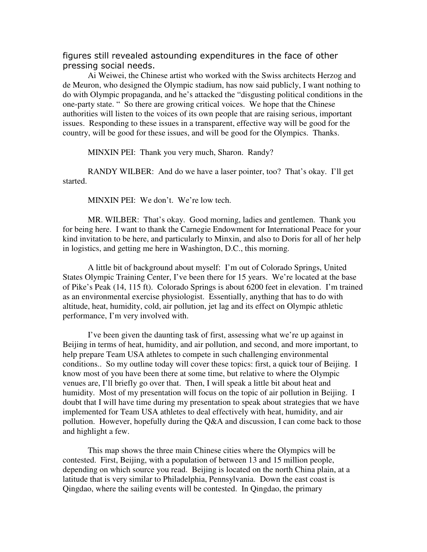figures still revealed astounding expenditures in the face of other pressing social needs.

Ai Weiwei, the Chinese artist who worked with the Swiss architects Herzog and de Meuron, who designed the Olympic stadium, has now said publicly, I want nothing to do with Olympic propaganda, and he's attacked the "disgusting political conditions in the one-party state. " So there are growing critical voices. We hope that the Chinese authorities will listen to the voices of its own people that are raising serious, important issues. Responding to these issues in a transparent, effective way will be good for the country, will be good for these issues, and will be good for the Olympics. Thanks.

MINXIN PEI: Thank you very much, Sharon. Randy?

RANDY WILBER: And do we have a laser pointer, too? That's okay. I'll get started.

MINXIN PEI: We don't. We're low tech.

MR. WILBER: That's okay. Good morning, ladies and gentlemen. Thank you for being here. I want to thank the Carnegie Endowment for International Peace for your kind invitation to be here, and particularly to Minxin, and also to Doris for all of her help in logistics, and getting me here in Washington, D.C., this morning.

A little bit of background about myself: I'm out of Colorado Springs, United States Olympic Training Center, I've been there for 15 years. We're located at the base of Pike's Peak (14, 115 ft). Colorado Springs is about 6200 feet in elevation. I'm trained as an environmental exercise physiologist. Essentially, anything that has to do with altitude, heat, humidity, cold, air pollution, jet lag and its effect on Olympic athletic performance, I'm very involved with.

I've been given the daunting task of first, assessing what we're up against in Beijing in terms of heat, humidity, and air pollution, and second, and more important, to help prepare Team USA athletes to compete in such challenging environmental conditions.. So my outline today will cover these topics: first, a quick tour of Beijing. I know most of you have been there at some time, but relative to where the Olympic venues are, I'll briefly go over that. Then, I will speak a little bit about heat and humidity. Most of my presentation will focus on the topic of air pollution in Beijing. I doubt that I will have time during my presentation to speak about strategies that we have implemented for Team USA athletes to deal effectively with heat, humidity, and air pollution. However, hopefully during the Q&A and discussion, I can come back to those and highlight a few.

This map shows the three main Chinese cities where the Olympics will be contested. First, Beijing, with a population of between 13 and 15 million people, depending on which source you read. Beijing is located on the north China plain, at a latitude that is very similar to Philadelphia, Pennsylvania. Down the east coast is Qingdao, where the sailing events will be contested. In Qingdao, the primary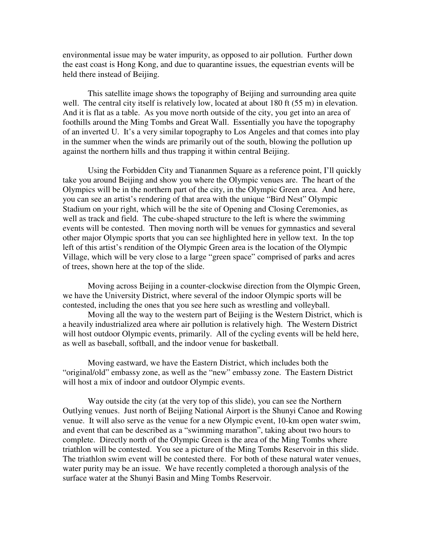environmental issue may be water impurity, as opposed to air pollution. Further down the east coast is Hong Kong, and due to quarantine issues, the equestrian events will be held there instead of Beijing.

This satellite image shows the topography of Beijing and surrounding area quite well. The central city itself is relatively low, located at about 180 ft (55 m) in elevation. And it is flat as a table. As you move north outside of the city, you get into an area of foothills around the Ming Tombs and Great Wall. Essentially you have the topography of an inverted U. It's a very similar topography to Los Angeles and that comes into play in the summer when the winds are primarily out of the south, blowing the pollution up against the northern hills and thus trapping it within central Beijing.

Using the Forbidden City and Tiananmen Square as a reference point, I'll quickly take you around Beijing and show you where the Olympic venues are. The heart of the Olympics will be in the northern part of the city, in the Olympic Green area. And here, you can see an artist's rendering of that area with the unique "Bird Nest" Olympic Stadium on your right, which will be the site of Opening and Closing Ceremonies, as well as track and field. The cube-shaped structure to the left is where the swimming events will be contested. Then moving north will be venues for gymnastics and several other major Olympic sports that you can see highlighted here in yellow text. In the top left of this artist's rendition of the Olympic Green area is the location of the Olympic Village, which will be very close to a large "green space" comprised of parks and acres of trees, shown here at the top of the slide.

Moving across Beijing in a counter-clockwise direction from the Olympic Green, we have the University District, where several of the indoor Olympic sports will be contested, including the ones that you see here such as wrestling and volleyball.

Moving all the way to the western part of Beijing is the Western District, which is a heavily industrialized area where air pollution is relatively high. The Western District will host outdoor Olympic events, primarily. All of the cycling events will be held here, as well as baseball, softball, and the indoor venue for basketball.

Moving eastward, we have the Eastern District, which includes both the "original/old" embassy zone, as well as the "new" embassy zone. The Eastern District will host a mix of indoor and outdoor Olympic events.

Way outside the city (at the very top of this slide), you can see the Northern Outlying venues. Just north of Beijing National Airport is the Shunyi Canoe and Rowing venue. It will also serve as the venue for a new Olympic event, 10-km open water swim, and event that can be described as a "swimming marathon", taking about two hours to complete. Directly north of the Olympic Green is the area of the Ming Tombs where triathlon will be contested. You see a picture of the Ming Tombs Reservoir in this slide. The triathlon swim event will be contested there. For both of these natural water venues, water purity may be an issue. We have recently completed a thorough analysis of the surface water at the Shunyi Basin and Ming Tombs Reservoir.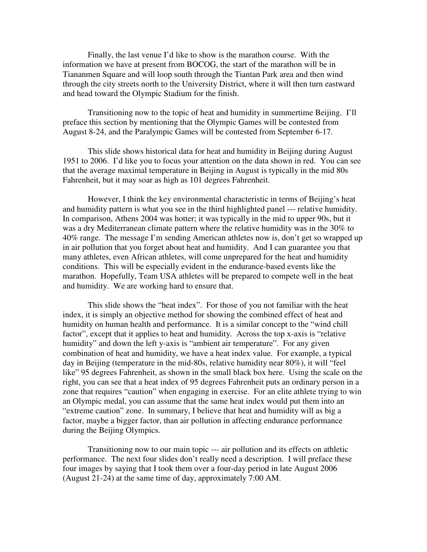Finally, the last venue I'd like to show is the marathon course. With the information we have at present from BOCOG, the start of the marathon will be in Tiananmen Square and will loop south through the Tiantan Park area and then wind through the city streets north to the University District, where it will then turn eastward and head toward the Olympic Stadium for the finish.

Transitioning now to the topic of heat and humidity in summertime Beijing. I'll preface this section by mentioning that the Olympic Games will be contested from August 8-24, and the Paralympic Games will be contested from September 6-17.

This slide shows historical data for heat and humidity in Beijing during August 1951 to 2006. I'd like you to focus your attention on the data shown in red. You can see that the average maximal temperature in Beijing in August is typically in the mid 80s Fahrenheit, but it may soar as high as 101 degrees Fahrenheit.

However, I think the key environmental characteristic in terms of Beijing's heat and humidity pattern is what you see in the third highlighted panel --- relative humidity. In comparison, Athens 2004 was hotter; it was typically in the mid to upper 90s, but it was a dry Mediterranean climate pattern where the relative humidity was in the 30% to 40% range. The message I'm sending American athletes now is, don't get so wrapped up in air pollution that you forget about heat and humidity. And I can guarantee you that many athletes, even African athletes, will come unprepared for the heat and humidity conditions. This will be especially evident in the endurance-based events like the marathon. Hopefully, Team USA athletes will be prepared to compete well in the heat and humidity. We are working hard to ensure that.

This slide shows the "heat index". For those of you not familiar with the heat index, it is simply an objective method for showing the combined effect of heat and humidity on human health and performance. It is a similar concept to the "wind chill factor", except that it applies to heat and humidity. Across the top x-axis is "relative humidity" and down the left y-axis is "ambient air temperature". For any given combination of heat and humidity, we have a heat index value. For example, a typical day in Beijing (temperature in the mid-80s, relative humidity near 80%), it will "feel like" 95 degrees Fahrenheit, as shown in the small black box here. Using the scale on the right, you can see that a heat index of 95 degrees Fahrenheit puts an ordinary person in a zone that requires "caution" when engaging in exercise. For an elite athlete trying to win an Olympic medal, you can assume that the same heat index would put them into an "extreme caution" zone. In summary, I believe that heat and humidity will as big a factor, maybe a bigger factor, than air pollution in affecting endurance performance during the Beijing Olympics.

Transitioning now to our main topic --- air pollution and its effects on athletic performance. The next four slides don't really need a description. I will preface these four images by saying that I took them over a four-day period in late August 2006 (August 21-24) at the same time of day, approximately 7:00 AM.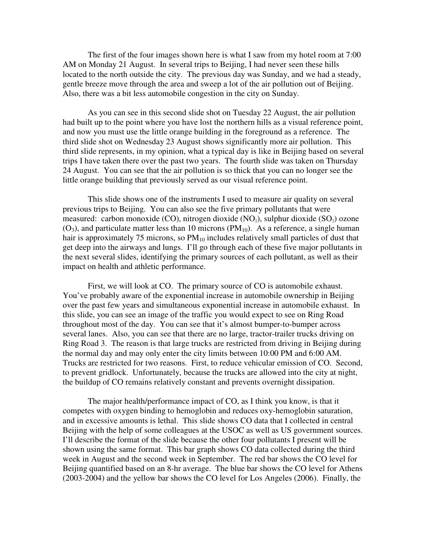The first of the four images shown here is what I saw from my hotel room at 7:00 AM on Monday 21 August. In several trips to Beijing, I had never seen these hills located to the north outside the city. The previous day was Sunday, and we had a steady, gentle breeze move through the area and sweep a lot of the air pollution out of Beijing. Also, there was a bit less automobile congestion in the city on Sunday.

As you can see in this second slide shot on Tuesday 22 August, the air pollution had built up to the point where you have lost the northern hills as a visual reference point, and now you must use the little orange building in the foreground as a reference. The third slide shot on Wednesday 23 August shows significantly more air pollution. This third slide represents, in my opinion, what a typical day is like in Beijing based on several trips I have taken there over the past two years. The fourth slide was taken on Thursday 24 August. You can see that the air pollution is so thick that you can no longer see the little orange building that previously served as our visual reference point.

This slide shows one of the instruments I used to measure air quality on several previous trips to Beijing. You can also see the five primary pollutants that were measured: carbon monoxide (CO), nitrogen dioxide (NO<sub>2</sub>), sulphur dioxide (SO<sub>2</sub>) ozone  $(O_3)$ , and particulate matter less than 10 microns (PM<sub>10</sub>). As a reference, a single human hair is approximately 75 microns, so  $PM_{10}$  includes relatively small particles of dust that get deep into the airways and lungs. I'll go through each of these five major pollutants in the next several slides, identifying the primary sources of each pollutant, as well as their impact on health and athletic performance.

First, we will look at CO. The primary source of CO is automobile exhaust. You've probably aware of the exponential increase in automobile ownership in Beijing over the past few years and simultaneous exponential increase in automobile exhaust. In this slide, you can see an image of the traffic you would expect to see on Ring Road throughout most of the day. You can see that it's almost bumper-to-bumper across several lanes. Also, you can see that there are no large, tractor-trailer trucks driving on Ring Road 3. The reason is that large trucks are restricted from driving in Beijing during the normal day and may only enter the city limits between 10:00 PM and 6:00 AM. Trucks are restricted for two reasons. First, to reduce vehicular emission of CO. Second, to prevent gridlock. Unfortunately, because the trucks are allowed into the city at night, the buildup of CO remains relatively constant and prevents overnight dissipation.

The major health/performance impact of CO, as I think you know, is that it competes with oxygen binding to hemoglobin and reduces oxy-hemoglobin saturation, and in excessive amounts is lethal. This slide shows CO data that I collected in central Beijing with the help of some colleagues at the USOC as well as US government sources. I'll describe the format of the slide because the other four pollutants I present will be shown using the same format. This bar graph shows CO data collected during the third week in August and the second week in September. The red bar shows the CO level for Beijing quantified based on an 8-hr average. The blue bar shows the CO level for Athens (2003-2004) and the yellow bar shows the CO level for Los Angeles (2006). Finally, the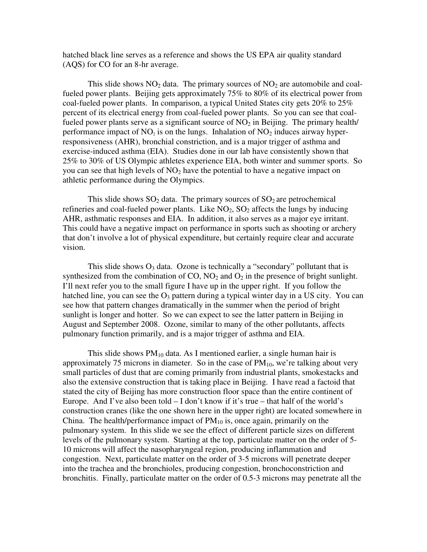hatched black line serves as a reference and shows the US EPA air quality standard (AQS) for CO for an 8-hr average.

This slide shows  $NO<sub>2</sub>$  data. The primary sources of  $NO<sub>2</sub>$  are automobile and coalfueled power plants. Beijing gets approximately 75% to 80% of its electrical power from coal-fueled power plants. In comparison, a typical United States city gets 20% to 25% percent of its electrical energy from coal-fueled power plants. So you can see that coalfueled power plants serve as a significant source of  $NO<sub>2</sub>$  in Beijing. The primary health/ performance impact of  $NO<sub>2</sub>$  is on the lungs. Inhalation of  $NO<sub>2</sub>$  induces airway hyperresponsiveness (AHR), bronchial constriction, and is a major trigger of asthma and exercise-induced asthma (EIA). Studies done in our lab have consistently shown that 25% to 30% of US Olympic athletes experience EIA, both winter and summer sports. So you can see that high levels of  $NO<sub>2</sub>$  have the potential to have a negative impact on athletic performance during the Olympics.

This slide shows  $SO_2$  data. The primary sources of  $SO_2$  are petrochemical refineries and coal-fueled power plants. Like  $NO<sub>2</sub>$ ,  $SO<sub>2</sub>$  affects the lungs by inducing AHR, asthmatic responses and EIA. In addition, it also serves as a major eye irritant. This could have a negative impact on performance in sports such as shooting or archery that don't involve a lot of physical expenditure, but certainly require clear and accurate vision.

This slide shows  $O_3$  data. Ozone is technically a "secondary" pollutant that is synthesized from the combination of CO,  $NO<sub>2</sub>$  and  $O<sub>2</sub>$  in the presence of bright sunlight. I'll next refer you to the small figure I have up in the upper right. If you follow the hatched line, you can see the  $O_3$  pattern during a typical winter day in a US city. You can see how that pattern changes dramatically in the summer when the period of bright sunlight is longer and hotter. So we can expect to see the latter pattern in Beijing in August and September 2008. Ozone, similar to many of the other pollutants, affects pulmonary function primarily, and is a major trigger of asthma and EIA.

This slide shows  $PM_{10}$  data. As I mentioned earlier, a single human hair is approximately 75 microns in diameter. So in the case of  $PM_{10}$ , we're talking about very small particles of dust that are coming primarily from industrial plants, smokestacks and also the extensive construction that is taking place in Beijing. I have read a factoid that stated the city of Beijing has more construction floor space than the entire continent of Europe. And I've also been told  $-$  I don't know if it's true  $-$  that half of the world's construction cranes (like the one shown here in the upper right) are located somewhere in China. The health/performance impact of  $PM_{10}$  is, once again, primarily on the pulmonary system. In this slide we see the effect of different particle sizes on different levels of the pulmonary system. Starting at the top, particulate matter on the order of 5- 10 microns will affect the nasopharyngeal region, producing inflammation and congestion. Next, particulate matter on the order of 3-5 microns will penetrate deeper into the trachea and the bronchioles, producing congestion, bronchoconstriction and bronchitis. Finally, particulate matter on the order of 0.5-3 microns may penetrate all the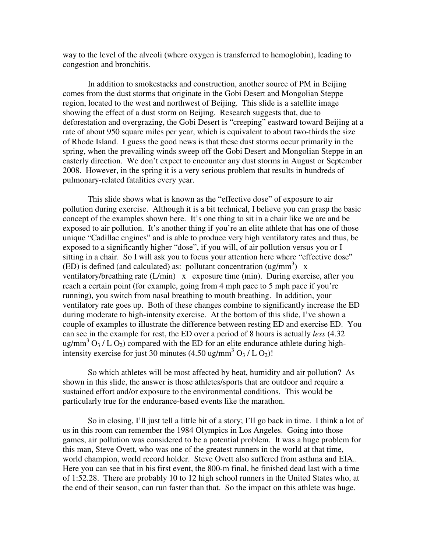way to the level of the alveoli (where oxygen is transferred to hemoglobin), leading to congestion and bronchitis.

In addition to smokestacks and construction, another source of PM in Beijing comes from the dust storms that originate in the Gobi Desert and Mongolian Steppe region, located to the west and northwest of Beijing. This slide is a satellite image showing the effect of a dust storm on Beijing. Research suggests that, due to deforestation and overgrazing, the Gobi Desert is "creeping" eastward toward Beijing at a rate of about 950 square miles per year, which is equivalent to about two-thirds the size of Rhode Island. I guess the good news is that these dust storms occur primarily in the spring, when the prevailing winds sweep off the Gobi Desert and Mongolian Steppe in an easterly direction. We don't expect to encounter any dust storms in August or September 2008. However, in the spring it is a very serious problem that results in hundreds of pulmonary-related fatalities every year.

This slide shows what is known as the "effective dose" of exposure to air pollution during exercise. Although it is a bit technical, I believe you can grasp the basic concept of the examples shown here. It's one thing to sit in a chair like we are and be exposed to air pollution. It's another thing if you're an elite athlete that has one of those unique "Cadillac engines" and is able to produce very high ventilatory rates and thus, be exposed to a significantly higher "dose", if you will, of air pollution versus you or I sitting in a chair. So I will ask you to focus your attention here where "effective dose" (ED) is defined (and calculated) as: pollutant concentration (ug/mm<sup>3</sup>) x ventilatory/breathing rate (L/min) x exposure time (min). During exercise, after you reach a certain point (for example, going from 4 mph pace to 5 mph pace if you're running), you switch from nasal breathing to mouth breathing. In addition, your ventilatory rate goes up. Both of these changes combine to significantly increase the ED during moderate to high-intensity exercise. At the bottom of this slide, I've shown a couple of examples to illustrate the difference between resting ED and exercise ED. You can see in the example for rest, the ED over a period of 8 hours is actually *less* (4.32 ug/mm<sup>3</sup> O<sub>3</sub> / L O<sub>2</sub>) compared with the ED for an elite endurance athlete during highintensity exercise for just 30 minutes  $(4.50 \text{ ug/mm}^3 \text{ O}_3 / \text{L O}_2)!$ 

So which athletes will be most affected by heat, humidity and air pollution? As shown in this slide, the answer is those athletes/sports that are outdoor and require a sustained effort and/or exposure to the environmental conditions. This would be particularly true for the endurance-based events like the marathon.

So in closing, I'll just tell a little bit of a story; I'll go back in time. I think a lot of us in this room can remember the 1984 Olympics in Los Angeles. Going into those games, air pollution was considered to be a potential problem. It was a huge problem for this man, Steve Ovett, who was one of the greatest runners in the world at that time, world champion, world record holder. Steve Ovett also suffered from asthma and EIA.. Here you can see that in his first event, the 800-m final, he finished dead last with a time of 1:52.28. There are probably 10 to 12 high school runners in the United States who, at the end of their season, can run faster than that. So the impact on this athlete was huge.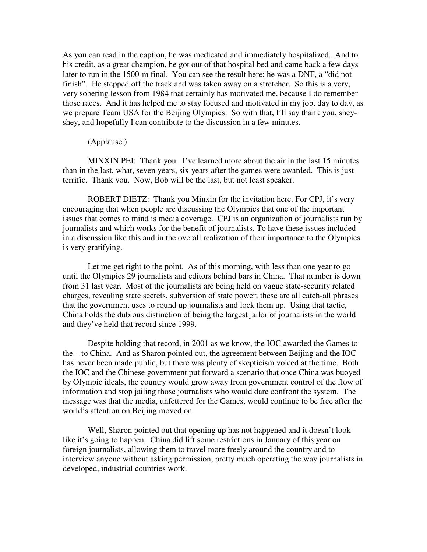As you can read in the caption, he was medicated and immediately hospitalized. And to his credit, as a great champion, he got out of that hospital bed and came back a few days later to run in the 1500-m final. You can see the result here; he was a DNF, a "did not finish". He stepped off the track and was taken away on a stretcher. So this is a very, very sobering lesson from 1984 that certainly has motivated me, because I do remember those races. And it has helped me to stay focused and motivated in my job, day to day, as we prepare Team USA for the Beijing Olympics. So with that, I'll say thank you, sheyshey, and hopefully I can contribute to the discussion in a few minutes.

### (Applause.)

MINXIN PEI: Thank you. I've learned more about the air in the last 15 minutes than in the last, what, seven years, six years after the games were awarded. This is just terrific. Thank you. Now, Bob will be the last, but not least speaker.

ROBERT DIETZ: Thank you Minxin for the invitation here. For CPJ, it's very encouraging that when people are discussing the Olympics that one of the important issues that comes to mind is media coverage. CPJ is an organization of journalists run by journalists and which works for the benefit of journalists. To have these issues included in a discussion like this and in the overall realization of their importance to the Olympics is very gratifying.

Let me get right to the point. As of this morning, with less than one year to go until the Olympics 29 journalists and editors behind bars in China. That number is down from 31 last year. Most of the journalists are being held on vague state-security related charges, revealing state secrets, subversion of state power; these are all catch-all phrases that the government uses to round up journalists and lock them up. Using that tactic, China holds the dubious distinction of being the largest jailor of journalists in the world and they've held that record since 1999.

Despite holding that record, in 2001 as we know, the IOC awarded the Games to the – to China. And as Sharon pointed out, the agreement between Beijing and the IOC has never been made public, but there was plenty of skepticism voiced at the time. Both the IOC and the Chinese government put forward a scenario that once China was buoyed by Olympic ideals, the country would grow away from government control of the flow of information and stop jailing those journalists who would dare confront the system. The message was that the media, unfettered for the Games, would continue to be free after the world's attention on Beijing moved on.

Well, Sharon pointed out that opening up has not happened and it doesn't look like it's going to happen. China did lift some restrictions in January of this year on foreign journalists, allowing them to travel more freely around the country and to interview anyone without asking permission, pretty much operating the way journalists in developed, industrial countries work.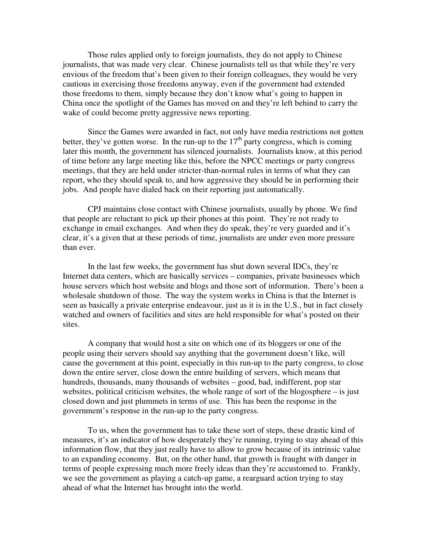Those rules applied only to foreign journalists, they do not apply to Chinese journalists, that was made very clear. Chinese journalists tell us that while they're very envious of the freedom that's been given to their foreign colleagues, they would be very cautious in exercising those freedoms anyway, even if the government had extended those freedoms to them, simply because they don't know what's going to happen in China once the spotlight of the Games has moved on and they're left behind to carry the wake of could become pretty aggressive news reporting.

Since the Games were awarded in fact, not only have media restrictions not gotten better, they've gotten worse. In the run-up to the  $17<sup>th</sup>$  party congress, which is coming later this month, the government has silenced journalists. Journalists know, at this period of time before any large meeting like this, before the NPCC meetings or party congress meetings, that they are held under stricter-than-normal rules in terms of what they can report, who they should speak to, and how aggressive they should be in performing their jobs. And people have dialed back on their reporting just automatically.

CPJ maintains close contact with Chinese journalists, usually by phone. We find that people are reluctant to pick up their phones at this point. They're not ready to exchange in email exchanges. And when they do speak, they're very guarded and it's clear, it's a given that at these periods of time, journalists are under even more pressure than ever.

In the last few weeks, the government has shut down several IDCs, they're Internet data centers, which are basically services – companies, private businesses which house servers which host website and blogs and those sort of information. There's been a wholesale shutdown of those. The way the system works in China is that the Internet is seen as basically a private enterprise endeavour, just as it is in the U.S., but in fact closely watched and owners of facilities and sites are held responsible for what's posted on their sites.

A company that would host a site on which one of its bloggers or one of the people using their servers should say anything that the government doesn't like, will cause the government at this point, especially in this run-up to the party congress, to close down the entire server, close down the entire building of servers, which means that hundreds, thousands, many thousands of websites – good, bad, indifferent, pop star websites, political criticism websites, the whole range of sort of the blogosphere – is just closed down and just plummets in terms of use. This has been the response in the government's response in the run-up to the party congress.

To us, when the government has to take these sort of steps, these drastic kind of measures, it's an indicator of how desperately they're running, trying to stay ahead of this information flow, that they just really have to allow to grow because of its intrinsic value to an expanding economy. But, on the other hand, that growth is fraught with danger in terms of people expressing much more freely ideas than they're accustomed to. Frankly, we see the government as playing a catch-up game, a rearguard action trying to stay ahead of what the Internet has brought into the world.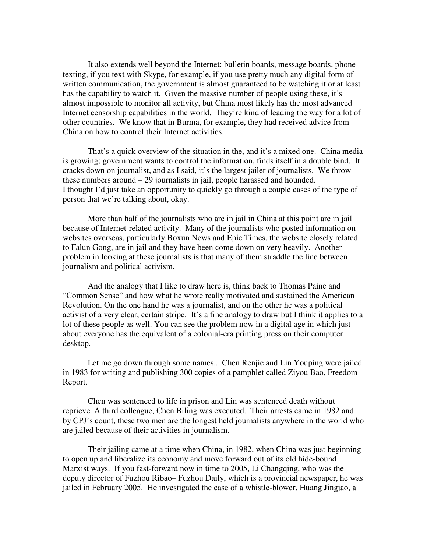It also extends well beyond the Internet: bulletin boards, message boards, phone texting, if you text with Skype, for example, if you use pretty much any digital form of written communication, the government is almost guaranteed to be watching it or at least has the capability to watch it. Given the massive number of people using these, it's almost impossible to monitor all activity, but China most likely has the most advanced Internet censorship capabilities in the world. They're kind of leading the way for a lot of other countries. We know that in Burma, for example, they had received advice from China on how to control their Internet activities.

That's a quick overview of the situation in the, and it's a mixed one. China media is growing; government wants to control the information, finds itself in a double bind. It cracks down on journalist, and as I said, it's the largest jailer of journalists. We throw these numbers around – 29 journalists in jail, people harassed and hounded. I thought I'd just take an opportunity to quickly go through a couple cases of the type of person that we're talking about, okay.

More than half of the journalists who are in jail in China at this point are in jail because of Internet-related activity. Many of the journalists who posted information on websites overseas, particularly Boxun News and Epic Times, the website closely related to Falun Gong, are in jail and they have been come down on very heavily. Another problem in looking at these journalists is that many of them straddle the line between journalism and political activism.

And the analogy that I like to draw here is, think back to Thomas Paine and "Common Sense" and how what he wrote really motivated and sustained the American Revolution. On the one hand he was a journalist, and on the other he was a political activist of a very clear, certain stripe. It's a fine analogy to draw but I think it applies to a lot of these people as well. You can see the problem now in a digital age in which just about everyone has the equivalent of a colonial-era printing press on their computer desktop.

Let me go down through some names.. Chen Renjie and Lin Youping were jailed in 1983 for writing and publishing 300 copies of a pamphlet called Ziyou Bao, Freedom Report.

Chen was sentenced to life in prison and Lin was sentenced death without reprieve. A third colleague, Chen Biling was executed. Their arrests came in 1982 and by CPJ's count, these two men are the longest held journalists anywhere in the world who are jailed because of their activities in journalism.

Their jailing came at a time when China, in 1982, when China was just beginning to open up and liberalize its economy and move forward out of its old hide-bound Marxist ways. If you fast-forward now in time to 2005, Li Changqing, who was the deputy director of Fuzhou Ribao– Fuzhou Daily, which is a provincial newspaper, he was jailed in February 2005. He investigated the case of a whistle-blower, Huang Jingjao, a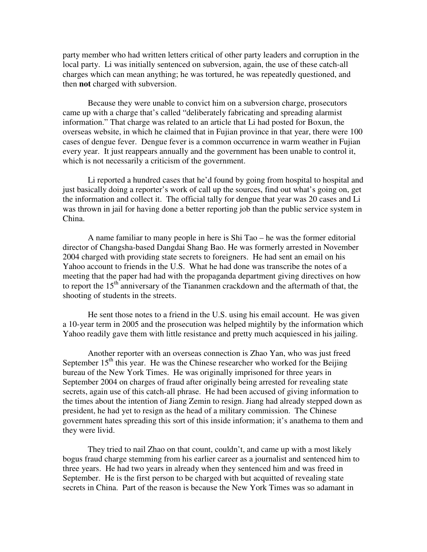party member who had written letters critical of other party leaders and corruption in the local party. Li was initially sentenced on subversion, again, the use of these catch-all charges which can mean anything; he was tortured, he was repeatedly questioned, and then **not** charged with subversion.

Because they were unable to convict him on a subversion charge, prosecutors came up with a charge that's called "deliberately fabricating and spreading alarmist information." That charge was related to an article that Li had posted for Boxun, the overseas website, in which he claimed that in Fujian province in that year, there were 100 cases of dengue fever. Dengue fever is a common occurrence in warm weather in Fujian every year. It just reappears annually and the government has been unable to control it, which is not necessarily a criticism of the government.

Li reported a hundred cases that he'd found by going from hospital to hospital and just basically doing a reporter's work of call up the sources, find out what's going on, get the information and collect it. The official tally for dengue that year was 20 cases and Li was thrown in jail for having done a better reporting job than the public service system in China.

A name familiar to many people in here is Shi Tao – he was the former editorial director of Changsha-based Dangdai Shang Bao. He was formerly arrested in November 2004 charged with providing state secrets to foreigners. He had sent an email on his Yahoo account to friends in the U.S. What he had done was transcribe the notes of a meeting that the paper had had with the propaganda department giving directives on how to report the 15<sup>th</sup> anniversary of the Tiananmen crackdown and the aftermath of that, the shooting of students in the streets.

He sent those notes to a friend in the U.S. using his email account. He was given a 10-year term in 2005 and the prosecution was helped mightily by the information which Yahoo readily gave them with little resistance and pretty much acquiesced in his jailing.

Another reporter with an overseas connection is Zhao Yan, who was just freed September  $15<sup>th</sup>$  this year. He was the Chinese researcher who worked for the Beijing bureau of the New York Times. He was originally imprisoned for three years in September 2004 on charges of fraud after originally being arrested for revealing state secrets, again use of this catch-all phrase. He had been accused of giving information to the times about the intention of Jiang Zemin to resign. Jiang had already stepped down as president, he had yet to resign as the head of a military commission. The Chinese government hates spreading this sort of this inside information; it's anathema to them and they were livid.

They tried to nail Zhao on that count, couldn't, and came up with a most likely bogus fraud charge stemming from his earlier career as a journalist and sentenced him to three years. He had two years in already when they sentenced him and was freed in September. He is the first person to be charged with but acquitted of revealing state secrets in China. Part of the reason is because the New York Times was so adamant in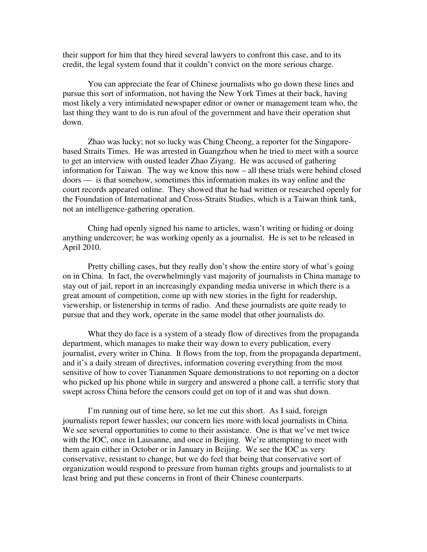their support for him that they hired several lawyers to confront this case, and to its credit, the legal system found that it couldn't convict on the more serious charge.

You can appreciate the fear of Chinese journalists who go down these lines and pursue this sort of information, not having the New York Times at their back, having most likely a very intimidated newspaper editor or owner or management team who, the last thing they want to do is run afoul of the government and have their operation shut down.

Zhao was lucky; not so lucky was Ching Cheong, a reporter for the Singaporebased Straits Times. He was arrested in Guangzhou when he tried to meet with a source to get an interview with ousted leader Zhao Ziyang. He was accused of gathering information for Taiwan. The way we know this now – all these trials were behind closed doors — is that somehow, sometimes this information makes its way online and the court records appeared online. They showed that he had written or researched openly for the Foundation of International and Cross-Straits Studies, which is a Taiwan think tank, not an intelligence-gathering operation.

Ching had openly signed his name to articles, wasn't writing or hiding or doing anything undercover; he was working openly as a journalist. He is set to be released in April 2010.

Pretty chilling cases, but they really don't show the entire story of what's going on in China. In fact, the overwhelmingly vast majority of journalists in China manage to stay out of jail, report in an increasingly expanding media universe in which there is a great amount of competition, come up with new stories in the fight for readership, viewership, or listenership in terms of radio. And these journalists are quite ready to pursue that and they work, operate in the same model that other journalists do.

What they do face is a system of a steady flow of directives from the propaganda department, which manages to make their way down to every publication, every journalist, every writer in China. It flows from the top, from the propaganda department, and it's a daily stream of directives, information covering everything from the most sensitive of how to cover Tiananmen Square demonstrations to not reporting on a doctor who picked up his phone while in surgery and answered a phone call, a terrific story that swept across China before the censors could get on top of it and was shut down.

I'm running out of time here, so let me cut this short. As I said, foreign journalists report fewer hassles; our concern lies more with local journalists in China. We see several opportunities to come to their assistance. One is that we've met twice with the IOC, once in Lausanne, and once in Beijing. We're attempting to meet with them again either in October or in January in Beijing. We see the IOC as very conservative, resistant to change, but we do feel that being that conservative sort of organization would respond to pressure from human rights groups and journalists to at least bring and put these concerns in front of their Chinese counterparts.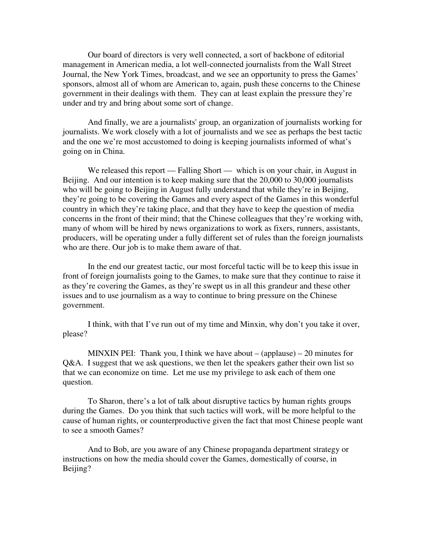Our board of directors is very well connected, a sort of backbone of editorial management in American media, a lot well-connected journalists from the Wall Street Journal, the New York Times, broadcast, and we see an opportunity to press the Games' sponsors, almost all of whom are American to, again, push these concerns to the Chinese government in their dealings with them. They can at least explain the pressure they're under and try and bring about some sort of change.

And finally, we are a journalists' group, an organization of journalists working for journalists. We work closely with a lot of journalists and we see as perhaps the best tactic and the one we're most accustomed to doing is keeping journalists informed of what's going on in China.

We released this report — Falling Short — which is on your chair, in August in Beijing. And our intention is to keep making sure that the 20,000 to 30,000 journalists who will be going to Beijing in August fully understand that while they're in Beijing, they're going to be covering the Games and every aspect of the Games in this wonderful country in which they're taking place, and that they have to keep the question of media concerns in the front of their mind; that the Chinese colleagues that they're working with, many of whom will be hired by news organizations to work as fixers, runners, assistants, producers, will be operating under a fully different set of rules than the foreign journalists who are there. Our job is to make them aware of that.

In the end our greatest tactic, our most forceful tactic will be to keep this issue in front of foreign journalists going to the Games, to make sure that they continue to raise it as they're covering the Games, as they're swept us in all this grandeur and these other issues and to use journalism as a way to continue to bring pressure on the Chinese government.

I think, with that I've run out of my time and Minxin, why don't you take it over, please?

MINXIN PEI: Thank you, I think we have about  $-$  (applause)  $-20$  minutes for Q&A. I suggest that we ask questions, we then let the speakers gather their own list so that we can economize on time. Let me use my privilege to ask each of them one question.

To Sharon, there's a lot of talk about disruptive tactics by human rights groups during the Games. Do you think that such tactics will work, will be more helpful to the cause of human rights, or counterproductive given the fact that most Chinese people want to see a smooth Games?

And to Bob, are you aware of any Chinese propaganda department strategy or instructions on how the media should cover the Games, domestically of course, in Beijing?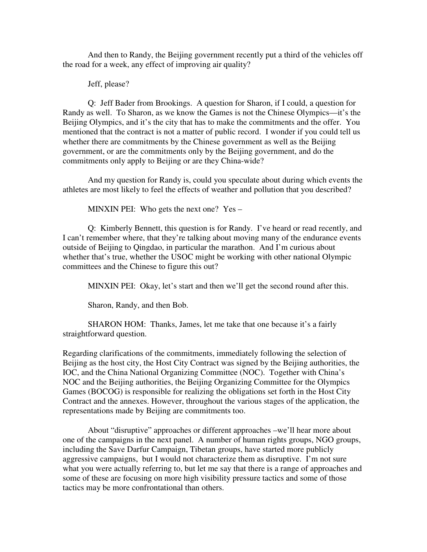And then to Randy, the Beijing government recently put a third of the vehicles off the road for a week, any effect of improving air quality?

Jeff, please?

Q: Jeff Bader from Brookings. A question for Sharon, if I could, a question for Randy as well. To Sharon, as we know the Games is not the Chinese Olympics—it's the Beijing Olympics, and it's the city that has to make the commitments and the offer. You mentioned that the contract is not a matter of public record. I wonder if you could tell us whether there are commitments by the Chinese government as well as the Beijing government, or are the commitments only by the Beijing government, and do the commitments only apply to Beijing or are they China-wide?

And my question for Randy is, could you speculate about during which events the athletes are most likely to feel the effects of weather and pollution that you described?

MINXIN PEI: Who gets the next one? Yes –

Q: Kimberly Bennett, this question is for Randy. I've heard or read recently, and I can't remember where, that they're talking about moving many of the endurance events outside of Beijing to Qingdao, in particular the marathon. And I'm curious about whether that's true, whether the USOC might be working with other national Olympic committees and the Chinese to figure this out?

MINXIN PEI: Okay, let's start and then we'll get the second round after this.

Sharon, Randy, and then Bob.

SHARON HOM: Thanks, James, let me take that one because it's a fairly straightforward question.

Regarding clarifications of the commitments, immediately following the selection of Beijing as the host city, the Host City Contract was signed by the Beijing authorities, the IOC, and the China National Organizing Committee (NOC). Together with China's NOC and the Beijing authorities, the Beijing Organizing Committee for the Olympics Games (BOCOG) is responsible for realizing the obligations set forth in the Host City Contract and the annexes. However, throughout the various stages of the application, the representations made by Beijing are commitments too.

About "disruptive" approaches or different approaches –we'll hear more about one of the campaigns in the next panel. A number of human rights groups, NGO groups, including the Save Darfur Campaign, Tibetan groups, have started more publicly aggressive campaigns, but I would not characterize them as disruptive. I'm not sure what you were actually referring to, but let me say that there is a range of approaches and some of these are focusing on more high visibility pressure tactics and some of those tactics may be more confrontational than others.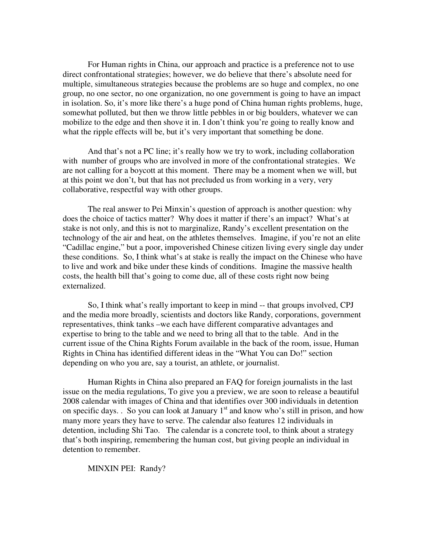For Human rights in China, our approach and practice is a preference not to use direct confrontational strategies; however, we do believe that there's absolute need for multiple, simultaneous strategies because the problems are so huge and complex, no one group, no one sector, no one organization, no one government is going to have an impact in isolation. So, it's more like there's a huge pond of China human rights problems, huge, somewhat polluted, but then we throw little pebbles in or big boulders, whatever we can mobilize to the edge and then shove it in. I don't think you're going to really know and what the ripple effects will be, but it's very important that something be done.

And that's not a PC line; it's really how we try to work, including collaboration with number of groups who are involved in more of the confrontational strategies. We are not calling for a boycott at this moment. There may be a moment when we will, but at this point we don't, but that has not precluded us from working in a very, very collaborative, respectful way with other groups.

The real answer to Pei Minxin's question of approach is another question: why does the choice of tactics matter? Why does it matter if there's an impact? What's at stake is not only, and this is not to marginalize, Randy's excellent presentation on the technology of the air and heat, on the athletes themselves. Imagine, if you're not an elite "Cadillac engine," but a poor, impoverished Chinese citizen living every single day under these conditions. So, I think what's at stake is really the impact on the Chinese who have to live and work and bike under these kinds of conditions. Imagine the massive health costs, the health bill that's going to come due, all of these costs right now being externalized.

So, I think what's really important to keep in mind -- that groups involved, CPJ and the media more broadly, scientists and doctors like Randy, corporations, government representatives, think tanks –we each have different comparative advantages and expertise to bring to the table and we need to bring all that to the table. And in the current issue of the China Rights Forum available in the back of the room, issue, Human Rights in China has identified different ideas in the "What You can Do!" section depending on who you are, say a tourist, an athlete, or journalist.

Human Rights in China also prepared an FAQ for foreign journalists in the last issue on the media regulations, To give you a preview, we are soon to release a beautiful 2008 calendar with images of China and that identifies over 300 individuals in detention on specific days. . So you can look at January  $1<sup>st</sup>$  and know who's still in prison, and how many more years they have to serve. The calendar also features 12 individuals in detention, including Shi Tao. The calendar is a concrete tool, to think about a strategy that's both inspiring, remembering the human cost, but giving people an individual in detention to remember.

MINXIN PEI: Randy?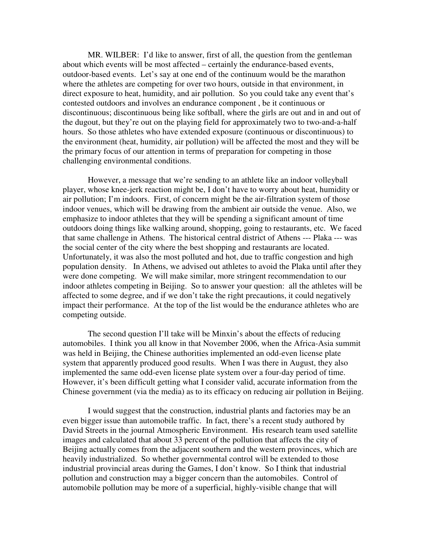MR. WILBER: I'd like to answer, first of all, the question from the gentleman about which events will be most affected – certainly the endurance-based events, outdoor-based events. Let's say at one end of the continuum would be the marathon where the athletes are competing for over two hours, outside in that environment, in direct exposure to heat, humidity, and air pollution. So you could take any event that's contested outdoors and involves an endurance component , be it continuous or discontinuous; discontinuous being like softball, where the girls are out and in and out of the dugout, but they're out on the playing field for approximately two to two-and-a-half hours. So those athletes who have extended exposure (continuous or discontinuous) to the environment (heat, humidity, air pollution) will be affected the most and they will be the primary focus of our attention in terms of preparation for competing in those challenging environmental conditions.

However, a message that we're sending to an athlete like an indoor volleyball player, whose knee-jerk reaction might be, I don't have to worry about heat, humidity or air pollution; I'm indoors. First, of concern might be the air-filtration system of those indoor venues, which will be drawing from the ambient air outside the venue. Also, we emphasize to indoor athletes that they will be spending a significant amount of time outdoors doing things like walking around, shopping, going to restaurants, etc. We faced that same challenge in Athens. The historical central district of Athens --- Plaka --- was the social center of the city where the best shopping and restaurants are located. Unfortunately, it was also the most polluted and hot, due to traffic congestion and high population density. In Athens, we advised out athletes to avoid the Plaka until after they were done competing. We will make similar, more stringent recommendation to our indoor athletes competing in Beijing. So to answer your question: all the athletes will be affected to some degree, and if we don't take the right precautions, it could negatively impact their performance. At the top of the list would be the endurance athletes who are competing outside.

The second question I'll take will be Minxin's about the effects of reducing automobiles. I think you all know in that November 2006, when the Africa-Asia summit was held in Beijing, the Chinese authorities implemented an odd-even license plate system that apparently produced good results. When I was there in August, they also implemented the same odd-even license plate system over a four-day period of time. However, it's been difficult getting what I consider valid, accurate information from the Chinese government (via the media) as to its efficacy on reducing air pollution in Beijing.

I would suggest that the construction, industrial plants and factories may be an even bigger issue than automobile traffic. In fact, there's a recent study authored by David Streets in the journal Atmospheric Environment. His research team used satellite images and calculated that about 33 percent of the pollution that affects the city of Beijing actually comes from the adjacent southern and the western provinces, which are heavily industrialized. So whether governmental control will be extended to those industrial provincial areas during the Games, I don't know. So I think that industrial pollution and construction may a bigger concern than the automobiles. Control of automobile pollution may be more of a superficial, highly-visible change that will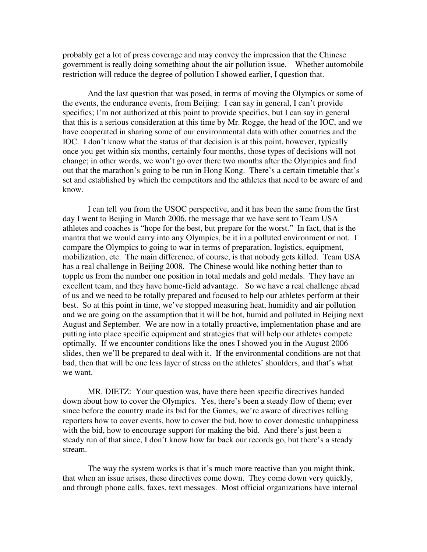probably get a lot of press coverage and may convey the impression that the Chinese government is really doing something about the air pollution issue. Whether automobile restriction will reduce the degree of pollution I showed earlier, I question that.

And the last question that was posed, in terms of moving the Olympics or some of the events, the endurance events, from Beijing: I can say in general, I can't provide specifics; I'm not authorized at this point to provide specifics, but I can say in general that this is a serious consideration at this time by Mr. Rogge, the head of the IOC, and we have cooperated in sharing some of our environmental data with other countries and the IOC. I don't know what the status of that decision is at this point, however, typically once you get within six months, certainly four months, those types of decisions will not change; in other words, we won't go over there two months after the Olympics and find out that the marathon's going to be run in Hong Kong. There's a certain timetable that's set and established by which the competitors and the athletes that need to be aware of and know.

I can tell you from the USOC perspective, and it has been the same from the first day I went to Beijing in March 2006, the message that we have sent to Team USA athletes and coaches is "hope for the best, but prepare for the worst." In fact, that is the mantra that we would carry into any Olympics, be it in a polluted environment or not. I compare the Olympics to going to war in terms of preparation, logistics, equipment, mobilization, etc. The main difference, of course, is that nobody gets killed. Team USA has a real challenge in Beijing 2008. The Chinese would like nothing better than to topple us from the number one position in total medals and gold medals. They have an excellent team, and they have home-field advantage. So we have a real challenge ahead of us and we need to be totally prepared and focused to help our athletes perform at their best. So at this point in time, we've stopped measuring heat, humidity and air pollution and we are going on the assumption that it will be hot, humid and polluted in Beijing next August and September. We are now in a totally proactive, implementation phase and are putting into place specific equipment and strategies that will help our athletes compete optimally. If we encounter conditions like the ones I showed you in the August 2006 slides, then we'll be prepared to deal with it. If the environmental conditions are not that bad, then that will be one less layer of stress on the athletes' shoulders, and that's what we want.

MR. DIETZ: Your question was, have there been specific directives handed down about how to cover the Olympics. Yes, there's been a steady flow of them; ever since before the country made its bid for the Games, we're aware of directives telling reporters how to cover events, how to cover the bid, how to cover domestic unhappiness with the bid, how to encourage support for making the bid. And there's just been a steady run of that since, I don't know how far back our records go, but there's a steady stream.

The way the system works is that it's much more reactive than you might think, that when an issue arises, these directives come down. They come down very quickly, and through phone calls, faxes, text messages. Most official organizations have internal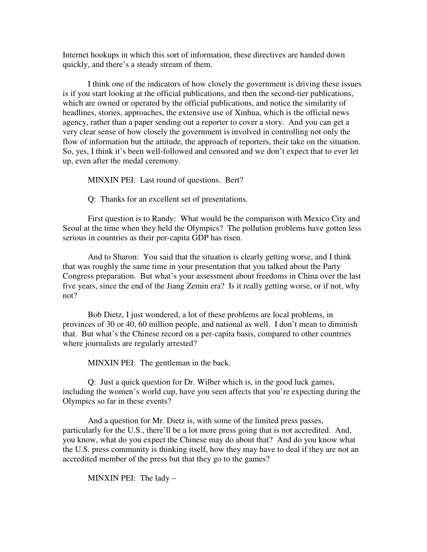Internet hookups in which this sort of information, these directives are handed down quickly, and there's a steady stream of them.

I think one of the indicators of how closely the government is driving these issues is if you start looking at the official publications, and then the second-tier publications, which are owned or operated by the official publications, and notice the similarity of headlines, stories, approaches, the extensive use of Xinhua, which is the official news agency, rather than a paper sending out a reporter to cover a story. And you can get a very clear sense of how closely the government is involved in controlling not only the flow of information but the attitude, the approach of reporters, their take on the situation. So, yes, I think it's been well-followed and censored and we don't expect that to ever let up, even after the medal ceremony.

MINXIN PEI: Last round of questions. Bert?

Q: Thanks for an excellent set of presentations.

First question is to Randy: What would be the comparison with Mexico City and Seoul at the time when they held the Olympics? The pollution problems have gotten less serious in countries as their per-capita GDP has risen.

And to Sharon: You said that the situation is clearly getting worse, and I think that was roughly the same time in your presentation that you talked about the Party Congress preparation. But what's your assessment about freedoms in China over the last five years, since the end of the Jiang Zemin era? Is it really getting worse, or if not, why not?

Bob Dietz, I just wondered, a lot of these problems are local problems, in provinces of 30 or 40, 60 million people, and national as well. I don't mean to diminish that. But what's the Chinese record on a per-capita basis, compared to other countries where journalists are regularly arrested?

MINXIN PEI: The gentleman in the back.

Q: Just a quick question for Dr. Wilber which is, in the good luck games, including the women's world cup, have you seen affects that you're expecting during the Olympics so far in these events?

And a question for Mr. Dietz is, with some of the limited press passes, particularly for the U.S., there'll be a lot more press going that is not accredited. And, you know, what do you expect the Chinese may do about that? And do you know what the U.S. press community is thinking itself, how they may have to deal if they are not an accredited member of the press but that they go to the games?

MINXIN PEI: The lady –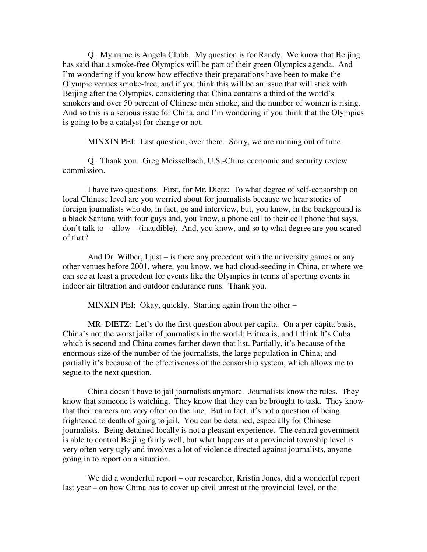Q: My name is Angela Clubb. My question is for Randy. We know that Beijing has said that a smoke-free Olympics will be part of their green Olympics agenda. And I'm wondering if you know how effective their preparations have been to make the Olympic venues smoke-free, and if you think this will be an issue that will stick with Beijing after the Olympics, considering that China contains a third of the world's smokers and over 50 percent of Chinese men smoke, and the number of women is rising. And so this is a serious issue for China, and I'm wondering if you think that the Olympics is going to be a catalyst for change or not.

MINXIN PEI: Last question, over there. Sorry, we are running out of time.

Q: Thank you. Greg Meisselbach, U.S.-China economic and security review commission.

I have two questions. First, for Mr. Dietz: To what degree of self-censorship on local Chinese level are you worried about for journalists because we hear stories of foreign journalists who do, in fact, go and interview, but, you know, in the background is a black Santana with four guys and, you know, a phone call to their cell phone that says, don't talk to – allow – (inaudible). And, you know, and so to what degree are you scared of that?

And Dr. Wilber, I just – is there any precedent with the university games or any other venues before 2001, where, you know, we had cloud-seeding in China, or where we can see at least a precedent for events like the Olympics in terms of sporting events in indoor air filtration and outdoor endurance runs. Thank you.

MINXIN PEI: Okay, quickly. Starting again from the other –

MR. DIETZ: Let's do the first question about per capita. On a per-capita basis, China's not the worst jailer of journalists in the world; Eritrea is, and I think It's Cuba which is second and China comes farther down that list. Partially, it's because of the enormous size of the number of the journalists, the large population in China; and partially it's because of the effectiveness of the censorship system, which allows me to segue to the next question.

China doesn't have to jail journalists anymore. Journalists know the rules. They know that someone is watching. They know that they can be brought to task. They know that their careers are very often on the line. But in fact, it's not a question of being frightened to death of going to jail. You can be detained, especially for Chinese journalists. Being detained locally is not a pleasant experience. The central government is able to control Beijing fairly well, but what happens at a provincial township level is very often very ugly and involves a lot of violence directed against journalists, anyone going in to report on a situation.

We did a wonderful report – our researcher, Kristin Jones, did a wonderful report last year – on how China has to cover up civil unrest at the provincial level, or the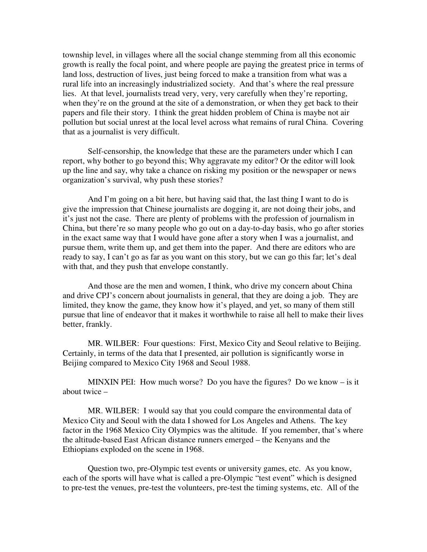township level, in villages where all the social change stemming from all this economic growth is really the focal point, and where people are paying the greatest price in terms of land loss, destruction of lives, just being forced to make a transition from what was a rural life into an increasingly industrialized society. And that's where the real pressure lies. At that level, journalists tread very, very, very carefully when they're reporting, when they're on the ground at the site of a demonstration, or when they get back to their papers and file their story. I think the great hidden problem of China is maybe not air pollution but social unrest at the local level across what remains of rural China. Covering that as a journalist is very difficult.

Self-censorship, the knowledge that these are the parameters under which I can report, why bother to go beyond this; Why aggravate my editor? Or the editor will look up the line and say, why take a chance on risking my position or the newspaper or news organization's survival, why push these stories?

And I'm going on a bit here, but having said that, the last thing I want to do is give the impression that Chinese journalists are dogging it, are not doing their jobs, and it's just not the case. There are plenty of problems with the profession of journalism in China, but there're so many people who go out on a day-to-day basis, who go after stories in the exact same way that I would have gone after a story when I was a journalist, and pursue them, write them up, and get them into the paper. And there are editors who are ready to say, I can't go as far as you want on this story, but we can go this far; let's deal with that, and they push that envelope constantly.

And those are the men and women, I think, who drive my concern about China and drive CPJ's concern about journalists in general, that they are doing a job. They are limited, they know the game, they know how it's played, and yet, so many of them still pursue that line of endeavor that it makes it worthwhile to raise all hell to make their lives better, frankly.

MR. WILBER: Four questions: First, Mexico City and Seoul relative to Beijing. Certainly, in terms of the data that I presented, air pollution is significantly worse in Beijing compared to Mexico City 1968 and Seoul 1988.

MINXIN PEI: How much worse? Do you have the figures? Do we know  $-$  is it about twice –

MR. WILBER: I would say that you could compare the environmental data of Mexico City and Seoul with the data I showed for Los Angeles and Athens. The key factor in the 1968 Mexico City Olympics was the altitude. If you remember, that's where the altitude-based East African distance runners emerged – the Kenyans and the Ethiopians exploded on the scene in 1968.

Question two, pre-Olympic test events or university games, etc. As you know, each of the sports will have what is called a pre-Olympic "test event" which is designed to pre-test the venues, pre-test the volunteers, pre-test the timing systems, etc. All of the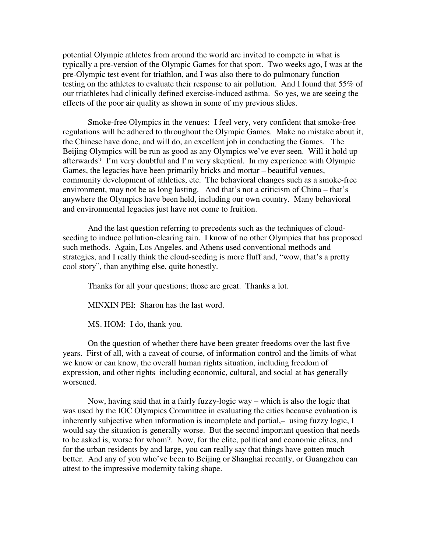potential Olympic athletes from around the world are invited to compete in what is typically a pre-version of the Olympic Games for that sport. Two weeks ago, I was at the pre-Olympic test event for triathlon, and I was also there to do pulmonary function testing on the athletes to evaluate their response to air pollution. And I found that 55% of our triathletes had clinically defined exercise-induced asthma. So yes, we are seeing the effects of the poor air quality as shown in some of my previous slides.

Smoke-free Olympics in the venues: I feel very, very confident that smoke-free regulations will be adhered to throughout the Olympic Games. Make no mistake about it, the Chinese have done, and will do, an excellent job in conducting the Games. The Beijing Olympics will be run as good as any Olympics we've ever seen. Will it hold up afterwards? I'm very doubtful and I'm very skeptical. In my experience with Olympic Games, the legacies have been primarily bricks and mortar – beautiful venues, community development of athletics, etc. The behavioral changes such as a smoke-free environment, may not be as long lasting. And that's not a criticism of China – that's anywhere the Olympics have been held, including our own country. Many behavioral and environmental legacies just have not come to fruition.

And the last question referring to precedents such as the techniques of cloudseeding to induce pollution-clearing rain. I know of no other Olympics that has proposed such methods. Again, Los Angeles. and Athens used conventional methods and strategies, and I really think the cloud-seeding is more fluff and, "wow, that's a pretty cool story", than anything else, quite honestly.

Thanks for all your questions; those are great. Thanks a lot.

MINXIN PEI: Sharon has the last word.

MS. HOM: I do, thank you.

On the question of whether there have been greater freedoms over the last five years. First of all, with a caveat of course, of information control and the limits of what we know or can know, the overall human rights situation, including freedom of expression, and other rights including economic, cultural, and social at has generally worsened.

Now, having said that in a fairly fuzzy-logic way – which is also the logic that was used by the IOC Olympics Committee in evaluating the cities because evaluation is inherently subjective when information is incomplete and partial,– using fuzzy logic, I would say the situation is generally worse. But the second important question that needs to be asked is, worse for whom?. Now, for the elite, political and economic elites, and for the urban residents by and large, you can really say that things have gotten much better. And any of you who've been to Beijing or Shanghai recently, or Guangzhou can attest to the impressive modernity taking shape.